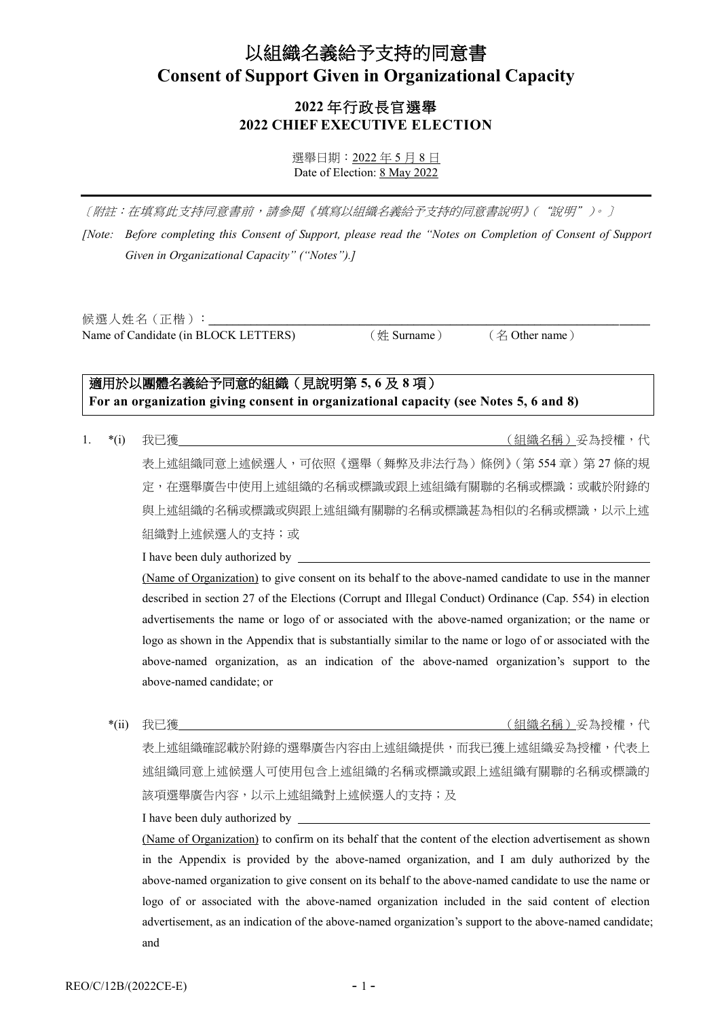# 以組織名義給予支持的同意書 **Consent of Support Given in Organizational Capacity**

# **2022** 年行政長官選舉 **2022 CHIEF EXECUTIVE ELECTION**

選舉日期:2022 年 5 月 8 日 Date of Election: 8 May 2022

〔附註:在填寫此支持同意書前,請參閱《填寫以組織名義給予支持的同意書說明》("說明")。〕

*[Note: Before completing this Consent of Support, please read the "Notes on Completion of Consent of Support Given in Organizational Capacity" ("Notes").]*

候選人姓名 (正楷): Name of Candidate (in BLOCK LETTERS) (姓 Surname) (名 Other name)

# 適用於以團體名義給予同意的組織(見說明第 **5, 6** 及 **8** 項) **For an organization giving consent in organizational capacity (see Notes 5, 6 and 8)**

1. \*(i) 我已獲 (組織名稱)妥為授權,代

表上述組織同意上述候選人,可依照《選舉(舞弊及非法行為)條例》(第 554 章)第 27 條的規 定,在選舉廣告中使用上述組織的名稱或標識或跟上述組織有關聯的名稱或標識;或載於附錄的 與上述組織的名稱或標識或與跟上述組織有關聯的名稱或標識甚為相似的名稱或標識,以示上述 組織對上述候選人的支持;或

I have been duly authorized by

(Name of Organization) to give consent on its behalf to the above-named candidate to use in the manner described in section 27 of the Elections (Corrupt and Illegal Conduct) Ordinance (Cap. 554) in election advertisements the name or logo of or associated with the above-named organization; or the name or logo as shown in the Appendix that is substantially similar to the name or logo of or associated with the above-named organization, as an indication of the above-named organization's support to the above-named candidate; or

\*(ii) 我已獲 (組織名稱)妥為授權,代

表上述組織確認載於附錄的選舉廣告內容由上述組織提供,而我已獲上述組織妥為授權,代表上 述組織同意上述候選人可使用包含上述組織的名稱或標識或跟上述組織有關聯的名稱或標識的 該項選舉廣告內容,以示上述組織對上述候選人的支持;及

I have been duly authorized by

(Name of Organization) to confirm on its behalf that the content of the election advertisement as shown in the Appendix is provided by the above-named organization, and I am duly authorized by the above-named organization to give consent on its behalf to the above-named candidate to use the name or logo of or associated with the above-named organization included in the said content of election advertisement, as an indication of the above-named organization's support to the above-named candidate; and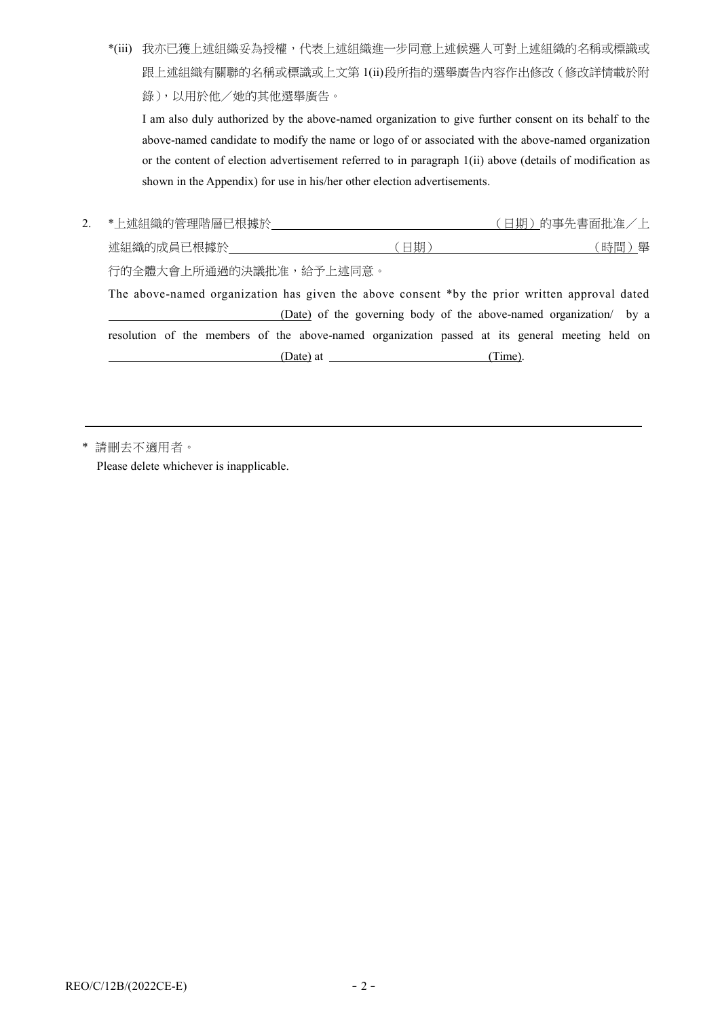\*(iii) 我亦已獲上述組織妥為授權,代表上述組織進一步同意上述候選人可對上述組織的名稱或標識或 跟上述組織有關聯的名稱或標識或上文第 1(ii)段所指的選舉廣告內容作出修改(修改詳情載於附 錄),以用於他/她的其他選舉廣告。

I am also duly authorized by the above-named organization to give further consent on its behalf to the above-named candidate to modify the name or logo of or associated with the above-named organization or the content of election advertisement referred to in paragraph 1(ii) above (details of modification as shown in the Appendix) for use in his/her other election advertisements.

| 2. | *上述組織的管理階層已根據於           | 〔日期〕的事先書面批准/上 |         |  |
|----|--------------------------|---------------|---------|--|
|    | 述組織的成員已根據於 しゅうしゅう しゅうしゅう | 日期            | 舉<br>時間 |  |
|    | 行的全體大會上所通過的決議批准,給予上述同意。  |               |         |  |
|    |                          |               |         |  |

The above-named organization has given the above consent \*by the prior written approval dated (Date) of the governing body of the above-named organization/ by a resolution of the members of the above-named organization passed at its general meeting held on (Date) at (Time).

\* 請刪去不適用者。

Please delete whichever is inapplicable.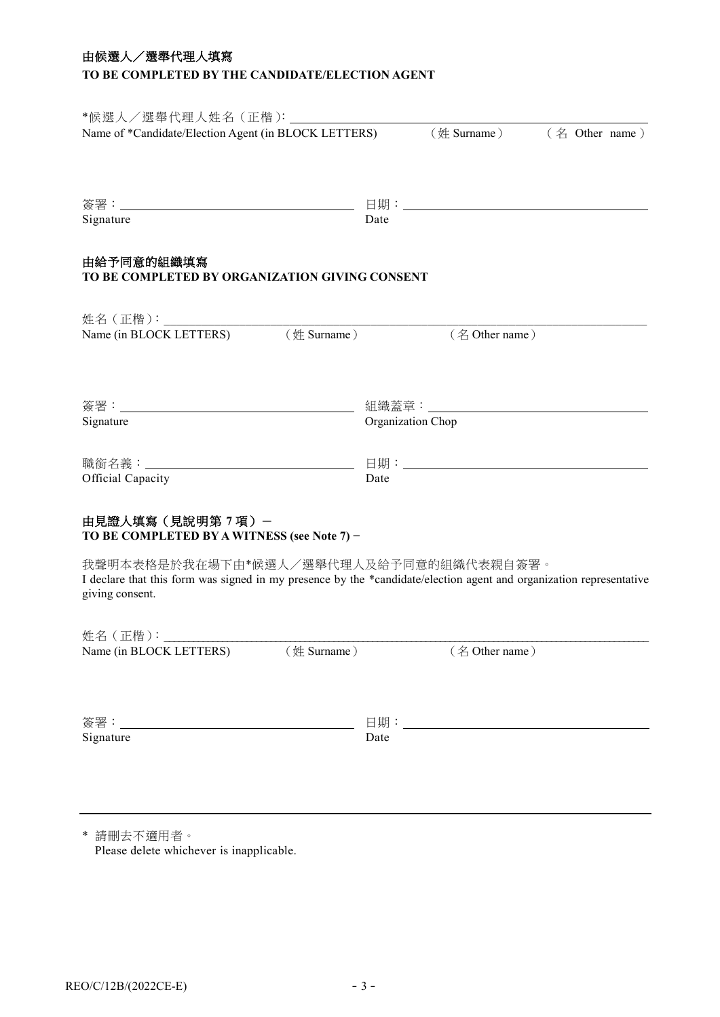## 由候選人/選舉代理人填寫

## **TO BE COMPLETED BY THE CANDIDATE/ELECTION AGENT**

| *候選人/選舉代理人姓名(正楷):________<br>Name of *Candidate/Election Agent (in BLOCK LETTERS)                                                                                                |                                  |      |                      | $(\frac{1}{24}$ Surname) $(4.2)$ Other name) |  |
|----------------------------------------------------------------------------------------------------------------------------------------------------------------------------------|----------------------------------|------|----------------------|----------------------------------------------|--|
|                                                                                                                                                                                  |                                  |      |                      |                                              |  |
| Signature                                                                                                                                                                        | 日期:_____________________<br>Date |      |                      |                                              |  |
| 由給予同意的組織填寫<br>TO BE COMPLETED BY ORGANIZATION GIVING CONSENT                                                                                                                     |                                  |      |                      |                                              |  |
| 姓名(正楷):________                                                                                                                                                                  |                                  |      |                      |                                              |  |
| Name (in BLOCK LETTERS) (姓 Surname)                                                                                                                                              |                                  |      | (名 Other name)       |                                              |  |
|                                                                                                                                                                                  |                                  |      |                      |                                              |  |
|                                                                                                                                                                                  | 組織蓋章: ________                   |      |                      |                                              |  |
| Signature                                                                                                                                                                        | Organization Chop                |      |                      |                                              |  |
|                                                                                                                                                                                  |                                  |      |                      |                                              |  |
| Official Capacity                                                                                                                                                                |                                  | Date |                      |                                              |  |
| 由見證人填寫 (見說明第7項) -<br>TO BE COMPLETED BY A WITNESS (see Note 7) -                                                                                                                 |                                  |      |                      |                                              |  |
| 我聲明本表格是於我在場下由*候選人/選舉代理人及給予同意的組織代表親自簽署。<br>I declare that this form was signed in my presence by the *candidate/election agent and organization representative<br>giving consent. |                                  |      |                      |                                              |  |
| 姓名 ( 正楷 ):                                                                                                                                                                       |                                  |      |                      |                                              |  |
| Name (in BLOCK LETTERS) (姓 Surname)                                                                                                                                              |                                  |      | $($ $\&$ Other name) |                                              |  |
|                                                                                                                                                                                  |                                  |      |                      |                                              |  |
| Signature                                                                                                                                                                        |                                  | Date |                      |                                              |  |
|                                                                                                                                                                                  |                                  |      |                      |                                              |  |

\* 請刪去不適用者。 Please delete whichever is inapplicable.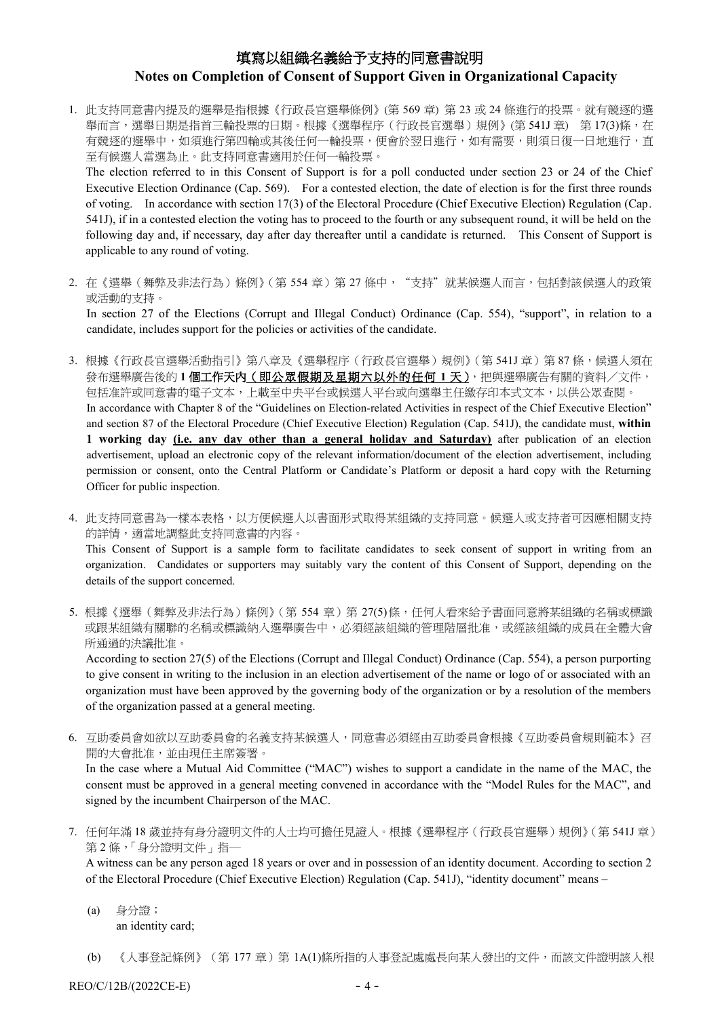# 填寫以組織名義給予支持的同意書說明 **Notes on Completion of Consent of Support Given in Organizational Capacity**

1. 此支持同意書內提及的選舉是指根據《行政長官選舉條例》(第 569 章) 第 23 或 24 條進行的投票。就有競逐的選 舉而言,選舉日期是指首三輪投票的日期。根據《選舉程序(行政長官選舉)規例》(第 541J 章) 第 17(3)條,在 有競逐的選舉中,如須進行第四輪或其後任何一輪投票,便會於翌日進行,如有需要,則須日復一日地進行,直 至有候選人當選為止。此支持同意書適用於任何一輪投票。

The election referred to in this Consent of Support is for a poll conducted under section 23 or 24 of the Chief Executive Election Ordinance (Cap. 569). For a contested election, the date of election is for the first three rounds of voting. In accordance with section 17(3) of the Electoral Procedure (Chief Executive Election) Regulation (Cap. 541J), if in a contested election the voting has to proceed to the fourth or any subsequent round, it will be held on the following day and, if necessary, day after day thereafter until a candidate is returned. This Consent of Support is applicable to any round of voting.

2. 在《選舉(舞弊及非法行為)條例》(第 554 章) 第 27 條中,"支持"就某候選人而言,包括對該候選人的政策 或活動的支持。

In section 27 of the Elections (Corrupt and Illegal Conduct) Ordinance (Cap. 554), "support", in relation to a candidate, includes support for the policies or activities of the candidate.

- 3. 根據《行政長官選舉活動指引》第八章及《選舉程序(行政長官選舉)規例》(第541J章)第87條,候選人須在 發布選舉廣告後的 **1** 個工作天內(即公眾假期及星期六以外的任何 **1** 天),把與選舉廣告有關的資料/文件, 包括准許或同意書的電子文本,上載至中央平台或候選人平台或向選舉主任繳存印本式文本,以供公眾查閱。 In accordance with Chapter 8 of the "Guidelines on Election-related Activities in respect of the Chief Executive Election" and section 87 of the Electoral Procedure (Chief Executive Election) Regulation (Cap. 541J), the candidate must, **within 1 working day (i.e. any day other than a general holiday and Saturday)** after publication of an election advertisement, upload an electronic copy of the relevant information/document of the election advertisement, including permission or consent, onto the Central Platform or Candidate's Platform or deposit a hard copy with the Returning Officer for public inspection.
- 4. 此支持同意書為一樣本表格,以方便候選人以書面形式取得某組織的支持同意。候選人或支持者可因應相關支持 的詳情,適當地調整此支持同意書的內容。

This Consent of Support is a sample form to facilitate candidates to seek consent of support in writing from an organization. Candidates or supporters may suitably vary the content of this Consent of Support, depending on the details of the support concerned.

5. 根據《選舉(舞弊及非法行為)條例》(第554章)第 27(5)條,任何人看來給予書面同意將某組織的名稱或標識 或跟某組織有關聯的名稱或標識納入選舉廣告中,必須經該組織的管理階層批准,或經該組織的成員在全體大會 所通過的決議批准。

According to section 27(5) of the Elections (Corrupt and Illegal Conduct) Ordinance (Cap. 554), a person purporting to give consent in writing to the inclusion in an election advertisement of the name or logo of or associated with an organization must have been approved by the governing body of the organization or by a resolution of the members of the organization passed at a general meeting.

6. 互助委員會如欲以互助委員會的名義支持某候選人,同意書必須經由互助委員會根據《互助委員會規則範本》召 開的大會批准,並由現任主席簽署。

In the case where a Mutual Aid Committee ("MAC") wishes to support a candidate in the name of the MAC, the consent must be approved in a general meeting convened in accordance with the "Model Rules for the MAC", and signed by the incumbent Chairperson of the MAC.

7. 任何年滿 18 歲並持有身分證明文件的人士均可擔任見證人。根據《選舉程序(行政長官選舉)規例》(第 541J 章) 第2條,「身分證明文件」指一

A witness can be any person aged 18 years or over and in possession of an identity document. According to section 2 of the Electoral Procedure (Chief Executive Election) Regulation (Cap. 541J), "identity document" means –

(a) 身分證; an identity card;

(b) 《人事登記條例》(第 177 章)第 1A(1)條所指的人事登記處處長向某人發出的文件,而該文件證明該人根

 $REO/C/12B/(2022CE-E)$  - 4 -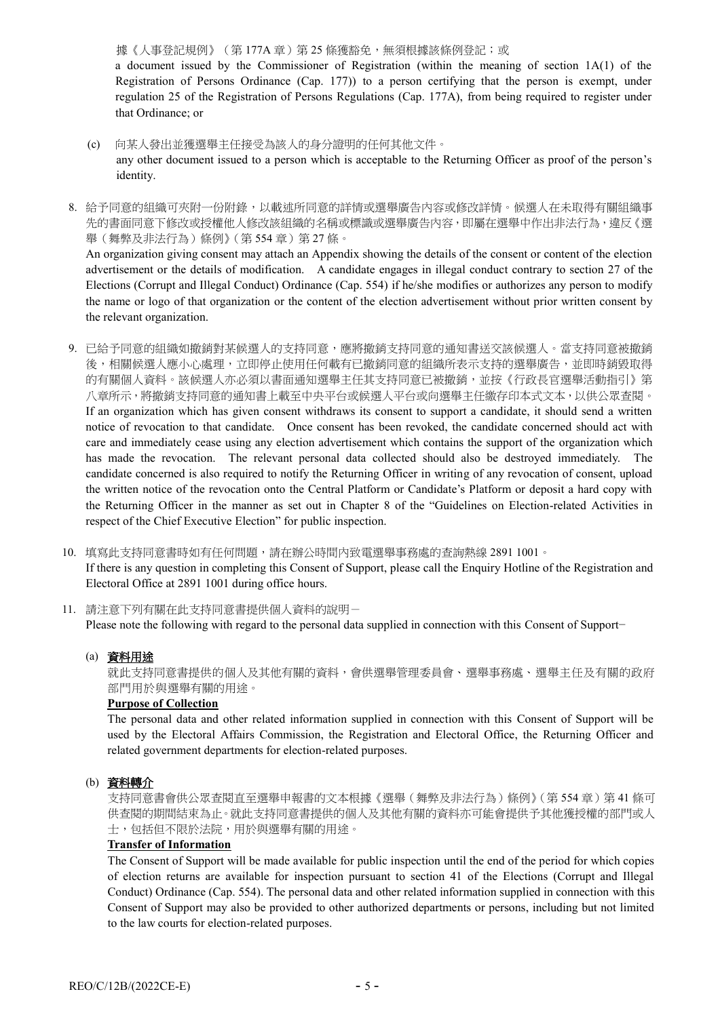據《人事登記規例》(第177A章)第 25 條獲豁免,無須根據該條例登記;或 a document issued by the Commissioner of Registration (within the meaning of section 1A(1) of the Registration of Persons Ordinance (Cap. 177)) to a person certifying that the person is exempt, under regulation 25 of the Registration of Persons Regulations (Cap. 177A), from being required to register under that Ordinance; or

- (c) 向某人發出並獲選舉主任接受為該人的身分證明的任何其他文件。 any other document issued to a person which is acceptable to the Returning Officer as proof of the person's identity.
- 8. 給予同意的組織可夾附一份附錄,以載述所同意的詳情或選舉廣告內容或修改詳情。候選人在未取得有關組織事 先的書面同意下修改或授權他人修改該組織的名稱或標識或選舉廣告內容,即屬在選舉中作出非法行為,違反《選 舉(舞弊及非法行為)條例》(第 554 章)第 27 條。

An organization giving consent may attach an Appendix showing the details of the consent or content of the election advertisement or the details of modification. A candidate engages in illegal conduct contrary to section 27 of the Elections (Corrupt and Illegal Conduct) Ordinance (Cap. 554) if he/she modifies or authorizes any person to modify the name or logo of that organization or the content of the election advertisement without prior written consent by the relevant organization.

9. 已給予同意的組織如撤銷對某候選人的支持同意,應將撤銷支持同意的通知書送交該候選人。當支持同意被撤銷 後,相關候選人應小心處理,立即停止使用任何載有已撤銷同意的組織所表示支持的選舉廣告,並即時銷毀取得 的有關個人資料。該候選人亦必須以書面通知選舉主任其支持同意已被撤銷,並按《行政長官選舉活動指引》第 八章所示,將撤銷支持同意的通知書上載至中央平台或候選人平台或向選舉主任繳存印本式文本,以供公眾查閱。 If an organization which has given consent withdraws its consent to support a candidate, it should send a written notice of revocation to that candidate. Once consent has been revoked, the candidate concerned should act with care and immediately cease using any election advertisement which contains the support of the organization which has made the revocation. The relevant personal data collected should also be destroyed immediately. The candidate concerned is also required to notify the Returning Officer in writing of any revocation of consent, upload the written notice of the revocation onto the Central Platform or Candidate's Platform or deposit a hard copy with the Returning Officer in the manner as set out in Chapter 8 of the "Guidelines on Election-related Activities in respect of the Chief Executive Election" for public inspection.

10. 填寫此支持同意書時如有任何問題,請在辦公時間內致電選舉事務處的查詢熱線 2891 1001。 If there is any question in completing this Consent of Support, please call the Enquiry Hotline of the Registration and Electoral Office at 2891 1001 during office hours.

11. 請注意下列有關在此支持同意書提供個人資料的說明- Please note the following with regard to the personal data supplied in connection with this Consent of Support−

## (a) 資料用途

就此支持同意書提供的個人及其他有關的資料,會供選舉管理委員會、選舉事務處、選舉主任及有關的政府 部門用於與選舉有關的用途。

## **Purpose of Collection**

The personal data and other related information supplied in connection with this Consent of Support will be used by the Electoral Affairs Commission, the Registration and Electoral Office, the Returning Officer and related government departments for election-related purposes.

## (b) 資料轉介

支持同意書會供公眾查閱直至選舉申報書的文本根據《選舉(舞弊及非法行為)條例》(第554章)第41條可 供查閱的期間結束為止。就此支持同意書提供的個人及其他有關的資料亦可能會提供予其他獲授權的部門或人 士,包括但不限於法院,用於與選舉有關的用途。

## **Transfer of Information**

The Consent of Support will be made available for public inspection until the end of the period for which copies of election returns are available for inspection pursuant to section 41 of the Elections (Corrupt and Illegal Conduct) Ordinance (Cap. 554). The personal data and other related information supplied in connection with this Consent of Support may also be provided to other authorized departments or persons, including but not limited to the law courts for election-related purposes.